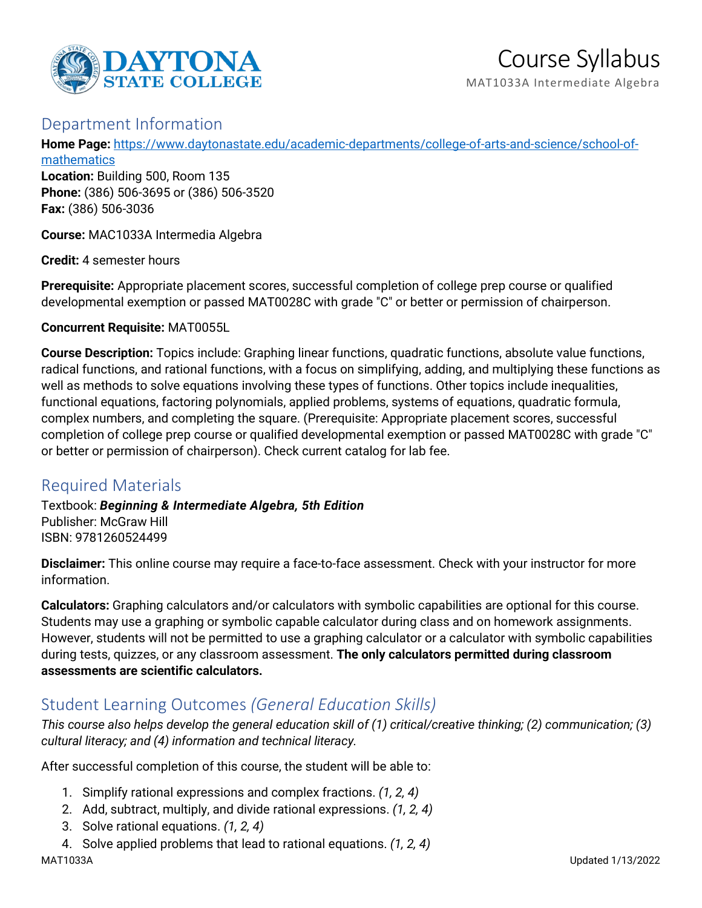

# Course Syllabus

MAT1033A Intermediate Algebra

# Department Information

**Home Page:** [https://www.daytonastate.edu/academic-departments/college-of-arts-and-science/school-of-](https://www.daytonastate.edu/academic-departments/college-of-arts-and-science/school-of-mathematics)

[mathematics](https://www.daytonastate.edu/academic-departments/college-of-arts-and-science/school-of-mathematics) **Location:** Building 500, Room 135 **Phone:** (386) 506-3695 or (386) 506-3520 **Fax:** (386) 506-3036

**Course:** MAC1033A Intermedia Algebra

**Credit:** 4 semester hours

**Prerequisite:** Appropriate placement scores, successful completion of college prep course or qualified developmental exemption or passed MAT0028C with grade "C" or better or permission of chairperson.

**Concurrent Requisite:** MAT0055L

**Course Description:** Topics include: Graphing linear functions, quadratic functions, absolute value functions, radical functions, and rational functions, with a focus on simplifying, adding, and multiplying these functions as well as methods to solve equations involving these types of functions. Other topics include inequalities, functional equations, factoring polynomials, applied problems, systems of equations, quadratic formula, complex numbers, and completing the square. (Prerequisite: Appropriate placement scores, successful completion of college prep course or qualified developmental exemption or passed MAT0028C with grade "C" or better or permission of chairperson). Check current catalog for lab fee.

# Required Materials

Textbook: *Beginning & Intermediate Algebra, 5th Edition* Publisher: McGraw Hill ISBN: 9781260524499

**Disclaimer:** This online course may require a face-to-face assessment. Check with your instructor for more information.

**Calculators:** Graphing calculators and/or calculators with symbolic capabilities are optional for this course. Students may use a graphing or symbolic capable calculator during class and on homework assignments. However, students will not be permitted to use a graphing calculator or a calculator with symbolic capabilities during tests, quizzes, or any classroom assessment. **The only calculators permitted during classroom assessments are scientific calculators.**

# Student Learning Outcomes *(General Education Skills)*

*This course also helps develop the general education skill of (1) critical/creative thinking; (2) communication; (3) cultural literacy; and (4) information and technical literacy.*

After successful completion of this course, the student will be able to:

- 1. Simplify rational expressions and complex fractions. *(1, 2, 4)*
- 2. Add, subtract, multiply, and divide rational expressions. *(1, 2, 4)*
- 3. Solve rational equations. *(1, 2, 4)*
- 4. Solve applied problems that lead to rational equations. *(1, 2, 4)*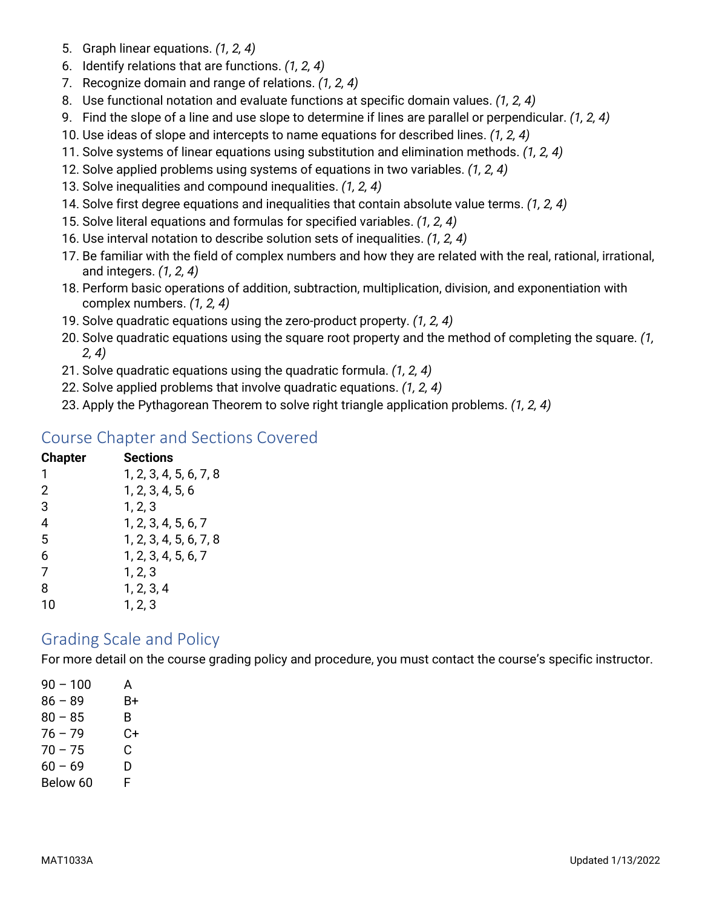- 5. Graph linear equations. *(1, 2, 4)*
- 6. Identify relations that are functions. *(1, 2, 4)*
- 7. Recognize domain and range of relations. *(1, 2, 4)*
- 8. Use functional notation and evaluate functions at specific domain values. *(1, 2, 4)*
- 9. Find the slope of a line and use slope to determine if lines are parallel or perpendicular. *(1, 2, 4)*
- 10. Use ideas of slope and intercepts to name equations for described lines. *(1, 2, 4)*
- 11. Solve systems of linear equations using substitution and elimination methods. *(1, 2, 4)*
- 12. Solve applied problems using systems of equations in two variables. *(1, 2, 4)*
- 13. Solve inequalities and compound inequalities. *(1, 2, 4)*
- 14. Solve first degree equations and inequalities that contain absolute value terms. *(1, 2, 4)*
- 15. Solve literal equations and formulas for specified variables. *(1, 2, 4)*
- 16. Use interval notation to describe solution sets of inequalities. *(1, 2, 4)*
- 17. Be familiar with the field of complex numbers and how they are related with the real, rational, irrational, and integers. *(1, 2, 4)*
- 18. Perform basic operations of addition, subtraction, multiplication, division, and exponentiation with complex numbers. *(1, 2, 4)*
- 19. Solve quadratic equations using the zero-product property. *(1, 2, 4)*
- 20. Solve quadratic equations using the square root property and the method of completing the square. *(1, 2, 4)*
- 21. Solve quadratic equations using the quadratic formula. *(1, 2, 4)*
- 22. Solve applied problems that involve quadratic equations. *(1, 2, 4)*
- 23. Apply the Pythagorean Theorem to solve right triangle application problems. *(1, 2, 4)*

### Course Chapter and Sections Covered

| <b>Chapter</b> | <b>Sections</b>        |
|----------------|------------------------|
| 1              | 1, 2, 3, 4, 5, 6, 7, 8 |
| 2              | 1, 2, 3, 4, 5, 6       |
| 3              | 1, 2, 3                |
| 4              | 1, 2, 3, 4, 5, 6, 7    |
| 5              | 1, 2, 3, 4, 5, 6, 7, 8 |
| 6              | 1, 2, 3, 4, 5, 6, 7    |
| 7              | 1, 2, 3                |
| 8              | 1, 2, 3, 4             |
| 10             | 1, 2, 3                |

# Grading Scale and Policy

For more detail on the course grading policy and procedure, you must contact the course's specific instructor.

| $90 - 100$ | A  |
|------------|----|
| $86 - 89$  | B+ |
| $80 - 85$  | В. |
| $76 - 79$  | C+ |
| $70 - 75$  | C. |
| $60 - 69$  | D  |
| Below 60   | F  |
|            |    |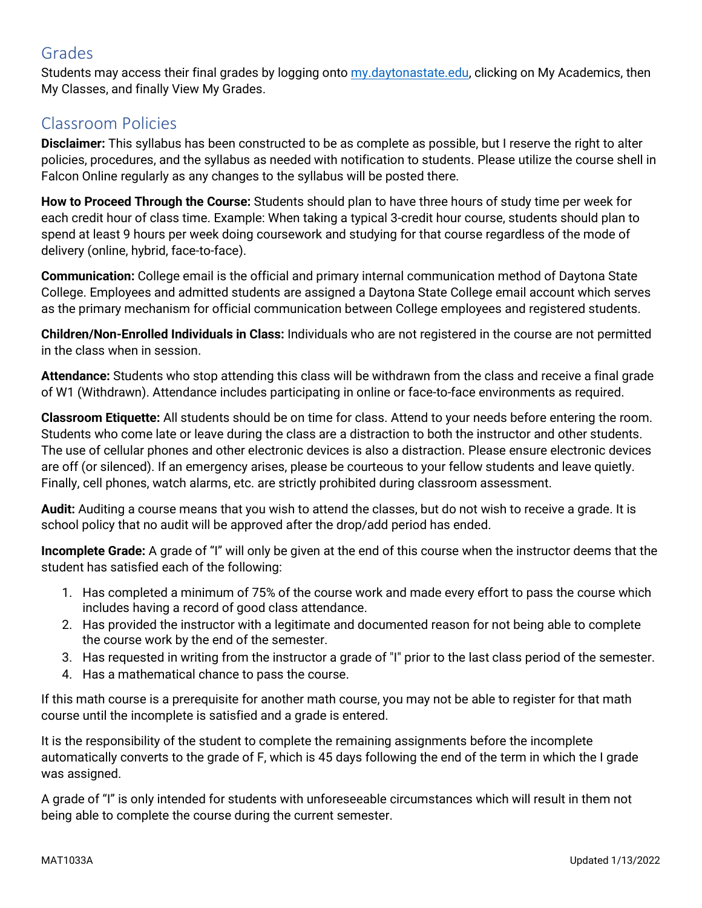# Grades

Students may access their final grades by logging onto [my.daytonastate.edu,](https://my.daytonastate.edu/) clicking on My Academics, then My Classes, and finally View My Grades.

# Classroom Policies

**Disclaimer:** This syllabus has been constructed to be as complete as possible, but I reserve the right to alter policies, procedures, and the syllabus as needed with notification to students. Please utilize the course shell in Falcon Online regularly as any changes to the syllabus will be posted there.

**How to Proceed Through the Course:** Students should plan to have three hours of study time per week for each credit hour of class time. Example: When taking a typical 3-credit hour course, students should plan to spend at least 9 hours per week doing coursework and studying for that course regardless of the mode of delivery (online, hybrid, face-to-face).

**Communication:** College email is the official and primary internal communication method of Daytona State College. Employees and admitted students are assigned a Daytona State College email account which serves as the primary mechanism for official communication between College employees and registered students.

**Children/Non-Enrolled Individuals in Class:** Individuals who are not registered in the course are not permitted in the class when in session.

**Attendance:** Students who stop attending this class will be withdrawn from the class and receive a final grade of W1 (Withdrawn). Attendance includes participating in online or face-to-face environments as required.

**Classroom Etiquette:** All students should be on time for class. Attend to your needs before entering the room. Students who come late or leave during the class are a distraction to both the instructor and other students. The use of cellular phones and other electronic devices is also a distraction. Please ensure electronic devices are off (or silenced). If an emergency arises, please be courteous to your fellow students and leave quietly. Finally, cell phones, watch alarms, etc. are strictly prohibited during classroom assessment.

**Audit:** Auditing a course means that you wish to attend the classes, but do not wish to receive a grade. It is school policy that no audit will be approved after the drop/add period has ended.

**Incomplete Grade:** A grade of "I" will only be given at the end of this course when the instructor deems that the student has satisfied each of the following:

- 1. Has completed a minimum of 75% of the course work and made every effort to pass the course which includes having a record of good class attendance.
- 2. Has provided the instructor with a legitimate and documented reason for not being able to complete the course work by the end of the semester.
- 3. Has requested in writing from the instructor a grade of "I" prior to the last class period of the semester.
- 4. Has a mathematical chance to pass the course.

If this math course is a prerequisite for another math course, you may not be able to register for that math course until the incomplete is satisfied and a grade is entered.

It is the responsibility of the student to complete the remaining assignments before the incomplete automatically converts to the grade of F, which is 45 days following the end of the term in which the I grade was assigned.

A grade of "I" is only intended for students with unforeseeable circumstances which will result in them not being able to complete the course during the current semester.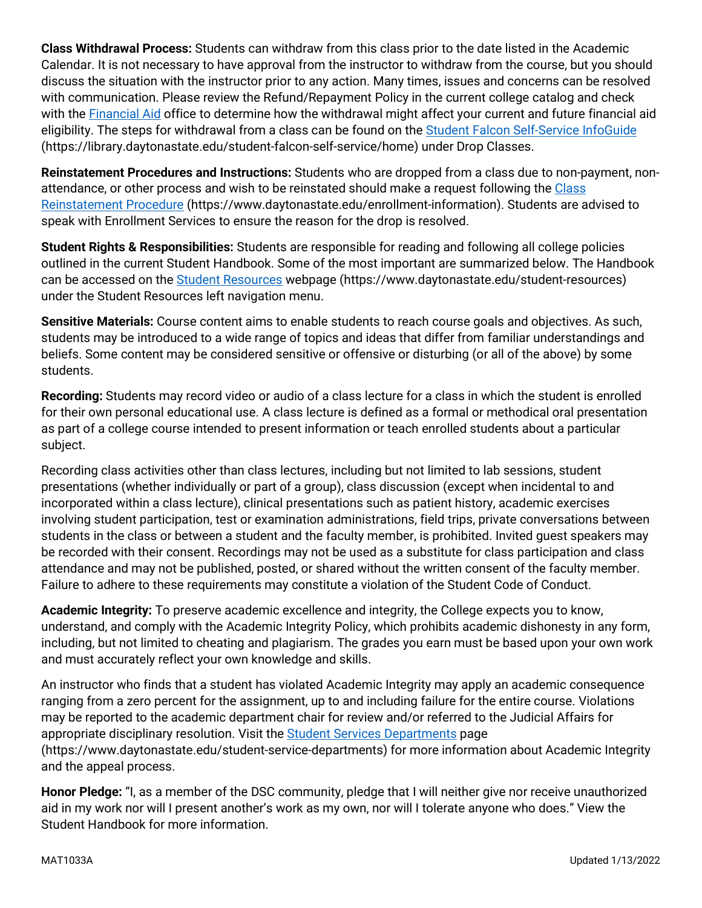**Class Withdrawal Process:** Students can withdraw from this class prior to the date listed in the Academic Calendar. It is not necessary to have approval from the instructor to withdraw from the course, but you should discuss the situation with the instructor prior to any action. Many times, issues and concerns can be resolved with communication. Please review the Refund/Repayment Policy in the current college catalog and check with the [Financial Aid](https://www.daytonastate.edu/financial-aid) office to determine how the withdrawal might affect your current and future financial aid eligibility. The steps for withdrawal from a class can be found on the **Student Falcon Self-Service InfoGuide** (https://library.daytonastate.edu/student-falcon-self-service/home) under Drop Classes.

**Reinstatement Procedures and Instructions:** Students who are dropped from a class due to non-payment, nonattendance, or other process and wish to be reinstated should make a request following the Class [Reinstatement Procedure](https://www.daytonastate.edu/enrollment-information/index.html) (https://www.daytonastate.edu/enrollment-information). Students are advised to speak with Enrollment Services to ensure the reason for the drop is resolved.

**Student Rights & Responsibilities:** Students are responsible for reading and following all college policies outlined in the current Student Handbook. Some of the most important are summarized below. The Handbook can be accessed on the [Student Resources](https://www.daytonastate.edu/student-resources) webpage (https://www.daytonastate.edu/student-resources) under the Student Resources left navigation menu.

**Sensitive Materials:** Course content aims to enable students to reach course goals and objectives. As such, students may be introduced to a wide range of topics and ideas that differ from familiar understandings and beliefs. Some content may be considered sensitive or offensive or disturbing (or all of the above) by some students.

**Recording:** Students may record video or audio of a class lecture for a class in which the student is enrolled for their own personal educational use. A class lecture is defined as a formal or methodical oral presentation as part of a college course intended to present information or teach enrolled students about a particular subject.

Recording class activities other than class lectures, including but not limited to lab sessions, student presentations (whether individually or part of a group), class discussion (except when incidental to and incorporated within a class lecture), clinical presentations such as patient history, academic exercises involving student participation, test or examination administrations, field trips, private conversations between students in the class or between a student and the faculty member, is prohibited. Invited guest speakers may be recorded with their consent. Recordings may not be used as a substitute for class participation and class attendance and may not be published, posted, or shared without the written consent of the faculty member. Failure to adhere to these requirements may constitute a violation of the Student Code of Conduct.

**Academic Integrity:** To preserve academic excellence and integrity, the College expects you to know, understand, and comply with the Academic Integrity Policy, which prohibits academic dishonesty in any form, including, but not limited to cheating and plagiarism. The grades you earn must be based upon your own work and must accurately reflect your own knowledge and skills.

An instructor who finds that a student has violated Academic Integrity may apply an academic consequence ranging from a zero percent for the assignment, up to and including failure for the entire course. Violations may be reported to the academic department chair for review and/or referred to the Judicial Affairs for appropriate disciplinary resolution. Visit the [Student Services Departments](https://www.daytonastate.edu/student-service-departments) page (https://www.daytonastate.edu/student-service-departments) for more information about Academic Integrity and the appeal process.

**Honor Pledge:** "I, as a member of the DSC community, pledge that I will neither give nor receive unauthorized aid in my work nor will I present another's work as my own, nor will I tolerate anyone who does." View the Student Handbook for more information.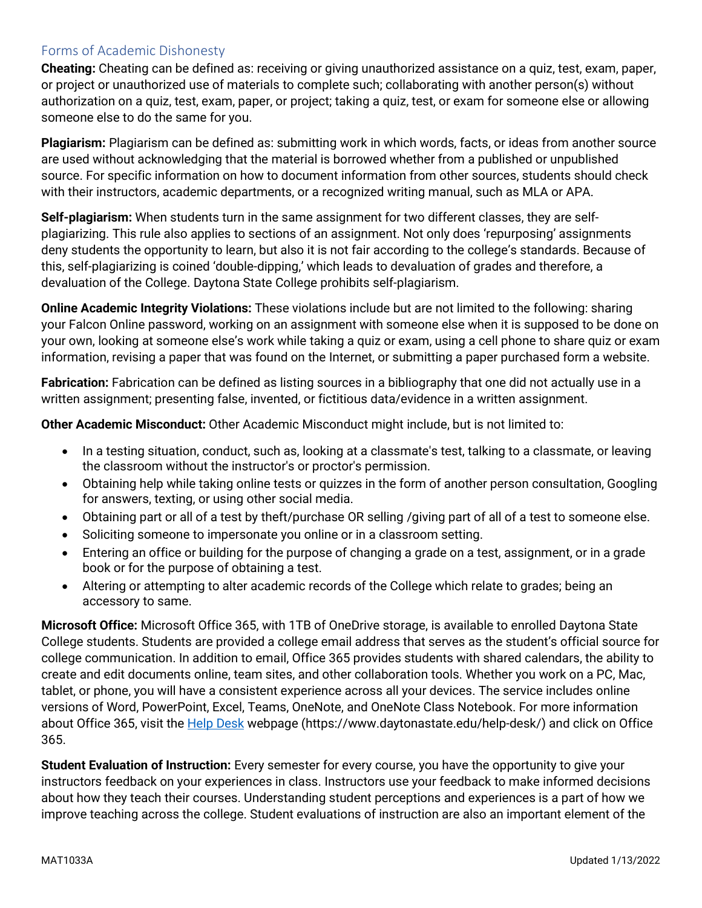#### Forms of Academic Dishonesty

**Cheating:** Cheating can be defined as: receiving or giving unauthorized assistance on a quiz, test, exam, paper, or project or unauthorized use of materials to complete such; collaborating with another person(s) without authorization on a quiz, test, exam, paper, or project; taking a quiz, test, or exam for someone else or allowing someone else to do the same for you.

**Plagiarism:** Plagiarism can be defined as: submitting work in which words, facts, or ideas from another source are used without acknowledging that the material is borrowed whether from a published or unpublished source. For specific information on how to document information from other sources, students should check with their instructors, academic departments, or a recognized writing manual, such as MLA or APA.

**Self-plagiarism:** When students turn in the same assignment for two different classes, they are selfplagiarizing. This rule also applies to sections of an assignment. Not only does 'repurposing' assignments deny students the opportunity to learn, but also it is not fair according to the college's standards. Because of this, self-plagiarizing is coined 'double-dipping,' which leads to devaluation of grades and therefore, a devaluation of the College. Daytona State College prohibits self-plagiarism.

**Online Academic Integrity Violations:** These violations include but are not limited to the following: sharing your Falcon Online password, working on an assignment with someone else when it is supposed to be done on your own, looking at someone else's work while taking a quiz or exam, using a cell phone to share quiz or exam information, revising a paper that was found on the Internet, or submitting a paper purchased form a website.

**Fabrication:** Fabrication can be defined as listing sources in a bibliography that one did not actually use in a written assignment; presenting false, invented, or fictitious data/evidence in a written assignment.

**Other Academic Misconduct:** Other Academic Misconduct might include, but is not limited to:

- In a testing situation, conduct, such as, looking at a classmate's test, talking to a classmate, or leaving the classroom without the instructor's or proctor's permission.
- Obtaining help while taking online tests or quizzes in the form of another person consultation, Googling for answers, texting, or using other social media.
- Obtaining part or all of a test by theft/purchase OR selling /giving part of all of a test to someone else.
- Soliciting someone to impersonate you online or in a classroom setting.
- Entering an office or building for the purpose of changing a grade on a test, assignment, or in a grade book or for the purpose of obtaining a test.
- Altering or attempting to alter academic records of the College which relate to grades; being an accessory to same.

**Microsoft Office:** Microsoft Office 365, with 1TB of OneDrive storage, is available to enrolled Daytona State College students. Students are provided a college email address that serves as the student's official source for college communication. In addition to email, Office 365 provides students with shared calendars, the ability to create and edit documents online, team sites, and other collaboration tools. Whether you work on a PC, Mac, tablet, or phone, you will have a consistent experience across all your devices. The service includes online versions of Word, PowerPoint, Excel, Teams, OneNote, and OneNote Class Notebook. For more information about Office 365, visit the **Help Desk** webpage (https://www.daytonastate.edu/help-desk/) and click on Office 365.

**Student Evaluation of Instruction:** Every semester for every course, you have the opportunity to give your instructors feedback on your experiences in class. Instructors use your feedback to make informed decisions about how they teach their courses. Understanding student perceptions and experiences is a part of how we improve teaching across the college. Student evaluations of instruction are also an important element of the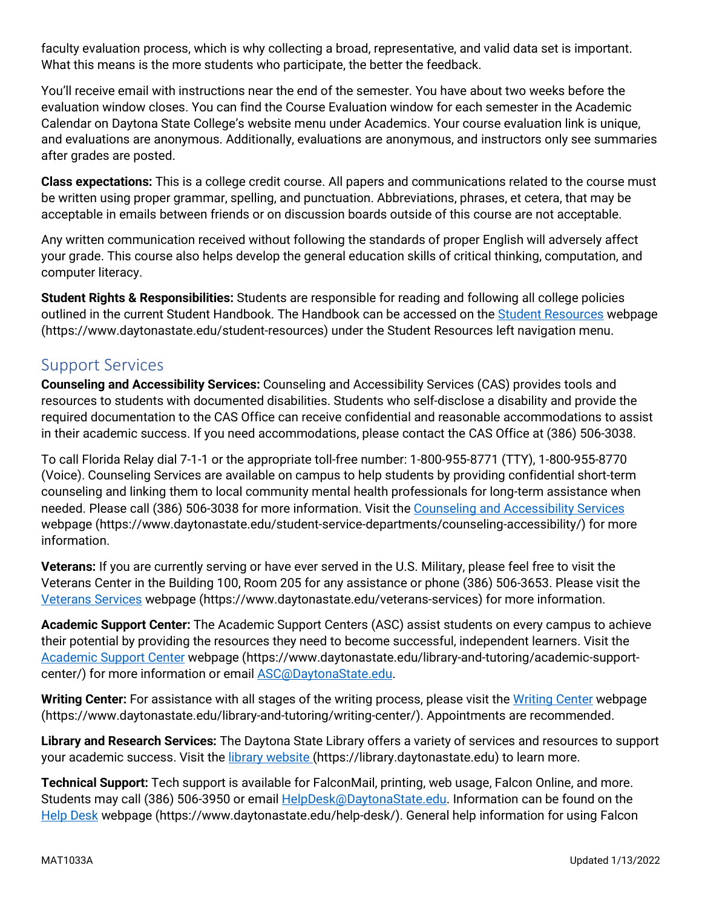faculty evaluation process, which is why collecting a broad, representative, and valid data set is important. What this means is the more students who participate, the better the feedback.

You'll receive email with instructions near the end of the semester. You have about two weeks before the evaluation window closes. You can find the Course Evaluation window for each semester in the Academic Calendar on Daytona State College's website menu under Academics. Your course evaluation link is unique, and evaluations are anonymous. Additionally, evaluations are anonymous, and instructors only see summaries after grades are posted.

**Class expectations:** This is a college credit course. All papers and communications related to the course must be written using proper grammar, spelling, and punctuation. Abbreviations, phrases, et cetera, that may be acceptable in emails between friends or on discussion boards outside of this course are not acceptable.

Any written communication received without following the standards of proper English will adversely affect your grade. This course also helps develop the general education skills of critical thinking, computation, and computer literacy.

**Student Rights & Responsibilities:** Students are responsible for reading and following all college policies outlined in the current Student Handbook. The Handbook can be accessed on the [Student Resources](https://www.daytonastate.edu/student-resources) webpage (https://www.daytonastate.edu/student-resources) under the Student Resources left navigation menu.

# Support Services

**Counseling and Accessibility Services:** Counseling and Accessibility Services (CAS) provides tools and resources to students with documented disabilities. Students who self-disclose a disability and provide the required documentation to the CAS Office can receive confidential and reasonable accommodations to assist in their academic success. If you need accommodations, please contact the CAS Office at (386) 506-3038.

To call Florida Relay dial 7-1-1 or the appropriate toll-free number: 1-800-955-8771 (TTY), 1-800-955-8770 (Voice). Counseling Services are available on campus to help students by providing confidential short-term counseling and linking them to local community mental health professionals for long-term assistance when needed. Please call (386) 506-3038 for more information. Visit the [Counseling and Accessibility Services](https://www.daytonastate.edu/student-service-departments/counseling-accessibility/) webpage (https://www.daytonastate.edu/student-service-departments/counseling-accessibility/) for more information.

**Veterans:** If you are currently serving or have ever served in the U.S. Military, please feel free to visit the Veterans Center in the Building 100, Room 205 for any assistance or phone (386) 506-3653. Please visit the [Veterans Services](https://www.daytonastate.edu/veterans-services) webpage (https://www.daytonastate.edu/veterans-services) for more information.

**Academic Support Center:** The Academic Support Centers (ASC) assist students on every campus to achieve their potential by providing the resources they need to become successful, independent learners. Visit the [Academic Support Center](https://www.daytonastate.edu/library-and-tutoring/academic-support-center/index.html) webpage (https://www.daytonastate.edu/library-and-tutoring/academic-supportcenter/) for more information or email **ASC@DaytonaState.edu**.

Writing Center: For assistance with all stages of the writing process, please visit the [Writing Center](https://www.daytonastate.edu/library-and-tutoring/writing-center/) webpage (https://www.daytonastate.edu/library-and-tutoring/writing-center/). Appointments are recommended.

**Library and Research Services:** The Daytona State Library offers a variety of services and resources to support your academic success. Visit the [library website \(](https://library.daytonastate.edu/index)https://library.daytonastate.edu) to learn more.

**Technical Support:** Tech support is available for FalconMail, printing, web usage, Falcon Online, and more. Students may call (386) 506-3950 or email **HelpDesk@DaytonaState.edu**. Information can be found on the [Help Desk](https://www.daytonastate.edu/help-desk/) webpage (https://www.daytonastate.edu/help-desk/). General help information for using Falcon